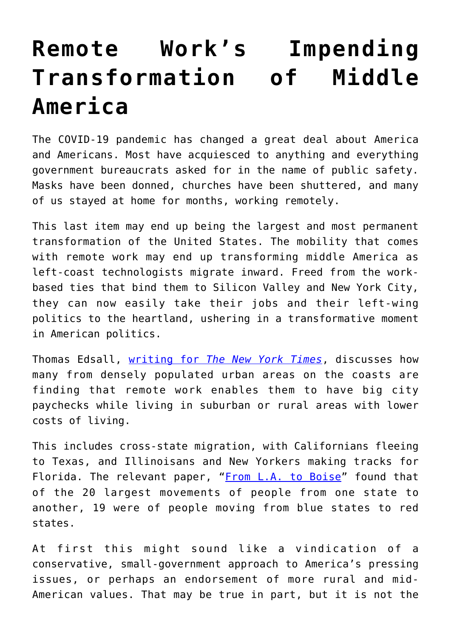## **[Remote Work's Impending](https://intellectualtakeout.org/2021/05/remote-works-impending-transformation-of-middle-america/) [Transformation of Middle](https://intellectualtakeout.org/2021/05/remote-works-impending-transformation-of-middle-america/) [America](https://intellectualtakeout.org/2021/05/remote-works-impending-transformation-of-middle-america/)**

The COVID-19 pandemic has changed a great deal about America and Americans. Most have acquiesced to anything and everything government bureaucrats asked for in the name of public safety. Masks have been donned, churches have been shuttered, and many of us stayed at home for months, working remotely.

This last item may end up being the largest and most permanent transformation of the United States. The mobility that comes with remote work may end up transforming middle America as left-coast technologists migrate inward. Freed from the workbased ties that bind them to Silicon Valley and New York City, they can now easily take their jobs and their left-wing politics to the heartland, ushering in a transformative moment in American politics.

Thomas Edsall, [writing for](https://www.nytimes.com/2021/05/12/opinion/New-York-San-Francisco-after-covid.html?action=click&module=Opinion&pgtype=Homepage) *[The New York Times](https://www.nytimes.com/2021/05/12/opinion/New-York-San-Francisco-after-covid.html?action=click&module=Opinion&pgtype=Homepage)*, discusses how many from densely populated urban areas on the coasts are finding that remote work enables them to have big city paychecks while living in suburban or rural areas with lower costs of living.

This includes cross-state migration, with Californians fleeing to Texas, and Illinoisans and New Yorkers making tracks for Florida. The relevant paper, ["From L.A. to Boise"](https://papers.ssrn.com/sol3/papers.cfm?abstract_id=3808326) found that of the 20 largest movements of people from one state to another, 19 were of people moving from blue states to red states.

At first this might sound like a vindication of a conservative, small-government approach to America's pressing issues, or perhaps an endorsement of more rural and mid-American values. That may be true in part, but it is not the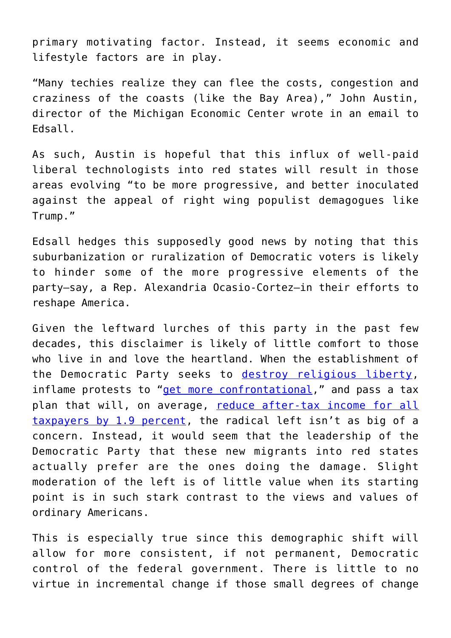primary motivating factor. Instead, it seems economic and lifestyle factors are in play.

"Many techies realize they can flee the costs, congestion and craziness of the coasts (like the Bay Area)," John Austin, director of the Michigan Economic Center wrote in an email to Edsall.

As such, Austin is hopeful that this influx of well-paid liberal technologists into red states will result in those areas evolving "to be more progressive, and better inoculated against the appeal of right wing populist demagogues like Trump."

Edsall hedges this supposedly good news by noting that this suburbanization or ruralization of Democratic voters is likely to hinder some of the more progressive elements of the party—say, a Rep. Alexandria Ocasio-Cortez—in their efforts to reshape America.

Given the leftward lurches of this party in the past few decades, this disclaimer is likely of little comfort to those who live in and love the heartland. When the establishment of the Democratic Party seeks to [destroy religious liberty,](https://thehill.com/blogs/congress-blog/religious-rights/552679-the-equality-act-hurts-the-black-church) inflame protests to ["get more confrontational,](https://www.startribune.com/minnesota-gop-challenges-democrats-over-rep-maxine-waters-words/600049131/)" and pass a tax plan that will, on average, [reduce after-tax income for all](https://taxfoundation.org/joe-biden-tax-plan-2020/) [taxpayers by 1.9 percent,](https://taxfoundation.org/joe-biden-tax-plan-2020/) the radical left isn't as big of a concern. Instead, it would seem that the leadership of the Democratic Party that these new migrants into red states actually prefer are the ones doing the damage. Slight moderation of the left is of little value when its starting point is in such stark contrast to the views and values of ordinary Americans.

This is especially true since this demographic shift will allow for more consistent, if not permanent, Democratic control of the federal government. There is little to no virtue in incremental change if those small degrees of change